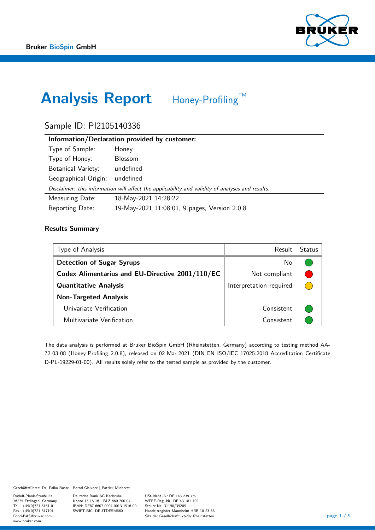

# Analysis Report Honey-Profiling™

# Sample ID: PI2105140336

| Information/Declaration provided by customer: |                                                                                                  |  |  |  |  |  |
|-----------------------------------------------|--------------------------------------------------------------------------------------------------|--|--|--|--|--|
| Type of Sample:                               | Honey                                                                                            |  |  |  |  |  |
| Type of Honey:                                | <b>Blossom</b>                                                                                   |  |  |  |  |  |
| <b>Botanical Variety:</b>                     | undefined                                                                                        |  |  |  |  |  |
| Geographical Origin:                          | undefined                                                                                        |  |  |  |  |  |
|                                               | Disclaimer: this information will affect the applicability and validity of analyses and results. |  |  |  |  |  |
| Measuring Date:                               | 18-May-2021 14:28:22                                                                             |  |  |  |  |  |
| Reporting Date:                               | 19-May-2021 11:08:01, 9 pages, Version 2.0.8                                                     |  |  |  |  |  |

### Results Summary

| Type of Analysis                                | Result                  | <b>Status</b> |
|-------------------------------------------------|-------------------------|---------------|
| <b>Detection of Sugar Syrups</b>                | No                      |               |
| Codex Alimentarius and EU-Directive 2001/110/EC | Not compliant           |               |
| <b>Quantitative Analysis</b>                    | Interpretation required |               |
| <b>Non-Targeted Analysis</b>                    |                         |               |
| Univariate Verification                         | Consistent              |               |
| Multivariate Verification                       | Consistent              |               |

The data analysis is performed at Bruker BioSpin GmbH (Rheinstetten, Germany) according to testing method AA-72-03-08 (Honey-Profiling 2.0.8), released on 02-Mar-2021 (DIN EN ISO/IEC 17025:2018 Accreditation Certificate D-PL-19229-01-00). All results solely refer to the tested sample as provided by the customer.

Geschäftsführer: Dr. Falko Busse | Bernd Gleixner | Patrick Minhorst

Rudolf-Plank-Straße 23 76275 Ettlingen, Germany Tel.  $+49(0)7215161-0$  $Fax. +49(0)721517101$ Food-BAS@bruker.com www.bruker.com

Deutsche Bank AG Karlsruhe Konto 13 15 16 · BLZ 660 700 04 IBAN: DE87 6607 0004 0013 1516 00 SWIFT-BIC: DEUTDESM660

USt-Ident.-Nr DE 143 239 759 WEEE-Reg.-Nr. DE 43 181 702 Steuer-Nr. 31190/39205 Handelsregister Mannheim HRB 10 23 68 Sitz der Gesellschaft: 76287 Rheinstetten page 1 / 9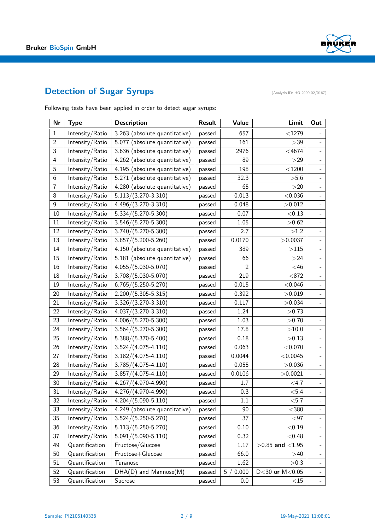

# Detection of Sugar Syrups (Analysis-ID: HO-2000-02/0167)

Following tests have been applied in order to detect sugar syrups:

| Nr             | <b>Type</b>     | <b>Description</b>            | <b>Result</b> | Value       | Limit                | Out                      |
|----------------|-----------------|-------------------------------|---------------|-------------|----------------------|--------------------------|
| $\mathbf{1}$   | Intensity/Ratio | 3.263 (absolute quantitative) | passed        | 657         | $<$ 1279             |                          |
| $\overline{2}$ | Intensity/Ratio | 5.077 (absolute quantitative) | passed        | 161         | >39                  | $\overline{\phantom{a}}$ |
| 3              | Intensity/Ratio | 3.636 (absolute quantitative) | passed        | 2976        | $<$ 4674             | $\frac{1}{2}$            |
| $\overline{4}$ | Intensity/Ratio | 4.262 (absolute quantitative) | passed        | 89          | >29                  | $\overline{\phantom{a}}$ |
| 5              | Intensity/Ratio | 4.195 (absolute quantitative) | passed        | 198         | $<$ 1200             | $\blacksquare$           |
| 6              | Intensity/Ratio | 5.271 (absolute quantitative) | passed        | 32.3        | >5.6                 | $\blacksquare$           |
| $\overline{7}$ | Intensity/Ratio | 4.280 (absolute quantitative) | passed        | 65          | >20                  | $\overline{\phantom{a}}$ |
| 8              | Intensity/Ratio | $5.113/(3.270-3.310)$         | passed        | 0.013       | < 0.036              | $\overline{a}$           |
| 9              | Intensity/Ratio | 4.496/(3.270-3.310)           | passed        | 0.048       | >0.012               | $\overline{\phantom{0}}$ |
| 10             | Intensity/Ratio | $5.334/(5.270 - 5.300)$       | passed        | 0.07        | < 0.13               | $\mathbf{u}$             |
| 11             | Intensity/Ratio | $3.546/(5.270 - 5.300)$       | passed        | 1.05        | >0.62                | $\blacksquare$           |
| 12             | Intensity/Ratio | $3.740/(5.270 - 5.300)$       | passed        | 2.7         | >1.2                 | $\overline{\phantom{a}}$ |
| 13             | Intensity/Ratio | $3.857/(5.200 - 5.260)$       | passed        | 0.0170      | >0.0037              | $\frac{1}{2}$            |
| 14             | Intensity/Ratio | 4.150 (absolute quantitative) | passed        | 389         | >115                 | $\overline{\phantom{a}}$ |
| 15             | Intensity/Ratio | 5.181 (absolute quantitative) | passed        | 66          | >24                  | $\frac{1}{2}$            |
| 16             | Intensity/Ratio | $4.055/(5.030 - 5.070)$       | passed        | 2           | $<$ 46               | $\frac{1}{2}$            |
| 18             | Intensity/Ratio | $3.708/(5.030 - 5.070)$       | passed        | 219         | < 872                | $\frac{1}{2}$            |
| 19             | Intensity/Ratio | $6.765/(5.250 - 5.270)$       | passed        | 0.015       | < 0.046              | $\overline{\phantom{a}}$ |
| 20             | Intensity/Ratio | $2.200/(5.305 - 5.315)$       | passed        | 0.392       | >0.019               | $\bar{\phantom{a}}$      |
| 21             | Intensity/Ratio | $3.326/(3.270 - 3.310)$       | passed        | 0.117       | >0.034               | $\overline{\phantom{a}}$ |
| 22             | Intensity/Ratio | $4.037/(3.270-3.310)$         | passed        | 1.24        | >0.73                | $\overline{\phantom{a}}$ |
| 23             | Intensity/Ratio | $4.006/(5.270 - 5.300)$       | passed        | 1.03        | >0.70                | $\blacksquare$           |
| 24             | Intensity/Ratio | $3.564/(5.270 - 5.300)$       | passed        | 17.8        | >10.0                | $\frac{1}{2}$            |
| 25             | Intensity/Ratio | $5.388/(5.370 - 5.400)$       | passed        | 0.18        | >0.13                | $\equiv$                 |
| 26             | Intensity/Ratio | $3.524/(4.075-4.110)$         | passed        | 0.063       | < 0.070              | $\blacksquare$           |
| 27             | Intensity/Ratio | $3.182/(4.075 - 4.110)$       | passed        | 0.0044      | < 0.0045             | $\overline{\phantom{a}}$ |
| 28             | Intensity/Ratio | $3.785/(4.075 - 4.110)$       | passed        | 0.055       | >0.036               | $\bar{\phantom{a}}$      |
| 29             | Intensity/Ratio | $3.857/(4.075 - 4.110)$       | passed        | 0.0106      | >0.0021              | $\blacksquare$           |
| 30             | Intensity/Ratio | $4.267/(4.970 - 4.990)$       | passed        | 1.7         | $<$ 4.7              | $\blacksquare$           |
| 31             | Intensity/Ratio | 4.276/(4.970-4.990)           | passed        | 0.3         | < 5.4                | $\frac{1}{2}$            |
| 32             | Intensity/Ratio | $4.204/(5.090 - 5.110)$       | passed        | 1.1         | ${<}5.7$             | $\equiv$                 |
| 33             | Intensity/Ratio | 4.249 (absolute quantitative) | passed        | 90          | $<$ 380              | $\equiv$                 |
| 35             | Intensity/Ratio | $3.524/(5.250 - 5.270)$       | passed        | 37          | $97$                 | $\Box$                   |
| 36             | Intensity/Ratio | $5.113/(5.250 - 5.270)$       | passed        | 0.10        | < 0.19               | $\blacksquare$           |
| 37             | Intensity/Ratio | $5.091/(5.090 - 5.110)$       | passed        | 0.32        | < 0.48               | $\overline{\phantom{a}}$ |
| 49             | Quantification  | Fructose/Glucose              | passed        | 1.17        | $>0.85$ and $< 1.95$ | $\overline{\phantom{a}}$ |
| 50             | Quantification  | Fructose+Glucose              | passed        | 66.0        | >40                  | $\overline{\phantom{a}}$ |
| 51             | Quantification  | Turanose                      | passed        | 1.62        | >0.3                 | $\overline{\phantom{a}}$ |
| 52             | Quantification  | $DHA(D)$ and Mannose $(M)$    | passed        | 0.000<br>5/ | $D<30$ or $M<0.05$   | $\blacksquare$           |
| 53             | Quantification  | Sucrose                       | passed        | 0.0         | $<$ 15               | $\equiv$                 |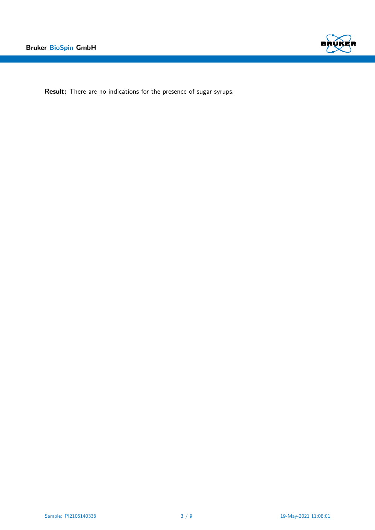

Result: There are no indications for the presence of sugar syrups.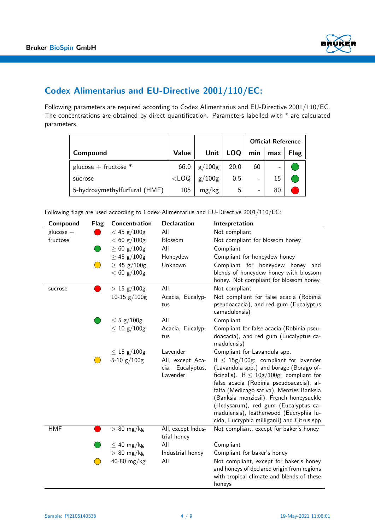

# Codex Alimentarius and EU-Directive 2001/110/EC:

Following parameters are required according to Codex Alimentarius and EU-Directive 2001/110/EC. The concentrations are obtained by direct quantification. Parameters labelled with \* are calculated parameters.

|                               |              |        |      | <b>Official Reference</b> |     |             |
|-------------------------------|--------------|--------|------|---------------------------|-----|-------------|
| Compound                      | <b>Value</b> | Unit   | LOQ  | min                       | max | <b>Flag</b> |
| glucose + fructose $*$        | 66.0         | g/100g | 20.0 | 60                        |     |             |
| sucrose                       | $<$ LOQ      | g/100g | 0.5  | -                         | 15  |             |
| 5-hydroxymethylfurfural (HMF) | 105          | mg/kg  | 5    | -                         | 80  |             |

Following flags are used according to Codex Alimentarius and EU-Directive 2001/110/EC:

| Compound    | <b>Flag</b> | Concentration                      | <b>Declaration</b>                               | Interpretation                                                                                                                                                                                                                                                                                                                                                                                               |
|-------------|-------------|------------------------------------|--------------------------------------------------|--------------------------------------------------------------------------------------------------------------------------------------------------------------------------------------------------------------------------------------------------------------------------------------------------------------------------------------------------------------------------------------------------------------|
| $glucose +$ |             | $< 45$ g/100g                      | All                                              | Not compliant                                                                                                                                                                                                                                                                                                                                                                                                |
| fructose    |             | $< 60$ g/100g                      | Blossom                                          | Not compliant for blossom honey                                                                                                                                                                                                                                                                                                                                                                              |
|             |             | $\geq 60$ g/100g                   | All                                              | Compliant                                                                                                                                                                                                                                                                                                                                                                                                    |
|             |             | $\geq$ 45 g/100g                   | Honeydew                                         | Compliant for honeydew honey                                                                                                                                                                                                                                                                                                                                                                                 |
|             |             | $\geq$ 45 g/100g,<br>$< 60$ g/100g | Unknown                                          | Compliant for honeydew honey and<br>blends of honeydew honey with blossom<br>honey. Not compliant for blossom honey.                                                                                                                                                                                                                                                                                         |
| sucrose     |             | $> 15 \text{ g}/100 \text{g}$      | All                                              | Not compliant                                                                                                                                                                                                                                                                                                                                                                                                |
|             |             | 10-15 $g/100g$                     | Acacia, Eucalyp-<br>tus                          | Not compliant for false acacia (Robinia<br>pseudoacacia), and red gum (Eucalyptus<br>camadulensis)                                                                                                                                                                                                                                                                                                           |
|             |             | $\leq 5$ g/100g                    | All                                              | Compliant                                                                                                                                                                                                                                                                                                                                                                                                    |
|             |             | $\leq 10$ g/100g                   | Acacia, Eucalyp-<br>tus                          | Compliant for false acacia (Robinia pseu-<br>doacacia), and red gum (Eucalyptus ca-<br>madulensis)                                                                                                                                                                                                                                                                                                           |
|             |             | $\leq 15$ g/100g                   | Lavender                                         | Compliant for Lavandula spp.                                                                                                                                                                                                                                                                                                                                                                                 |
|             |             | 5-10 $g/100g$                      | All, except Aca-<br>cia, Eucalyptus,<br>Lavender | If $\leq 15g/100g$ : compliant for lavender<br>(Lavandula spp.) and borage (Borago of-<br>ficinalis). If $\leq 10g/100g$ : compliant for<br>false acacia (Robinia pseudoacacia), al-<br>falfa (Medicago sativa), Menzies Banksia<br>(Banksia menziesii), French honeysuckle<br>(Hedysarum), red gum (Eucalyptus ca-<br>madulensis), leatherwood (Eucryphia lu-<br>cida, Eucryphia milliganii) and Citrus spp |
| <b>HMF</b>  |             | $> 80$ mg/kg                       | All, except Indus-<br>trial honey                | Not compliant, except for baker's honey                                                                                                                                                                                                                                                                                                                                                                      |
|             |             | $\leq 40$ mg/kg                    | All                                              | Compliant                                                                                                                                                                                                                                                                                                                                                                                                    |
|             |             | $> 80$ mg/kg                       | Industrial honey                                 | Compliant for baker's honey                                                                                                                                                                                                                                                                                                                                                                                  |
|             |             | 40-80 mg/kg                        | All                                              | Not compliant, except for baker's honey<br>and honeys of declared origin from regions<br>with tropical climate and blends of these<br>honeys                                                                                                                                                                                                                                                                 |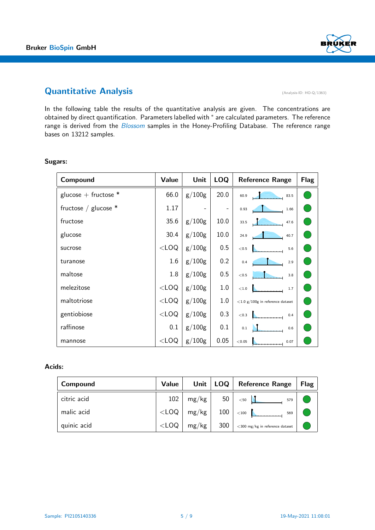

# Quantitative Analysis (Analysis-ID: HO-Q/1363)

In the following table the results of the quantitative analysis are given. The concentrations are obtained by direct quantification. Parameters labelled with  $*$  are calculated parameters. The reference range is derived from the Blossom samples in the Honey-Profiling Database. The reference range bases on 13212 samples.

| Compound               | Value   | Unit                     | <b>LOQ</b> | <b>Reference Range</b>              | <b>Flag</b> |
|------------------------|---------|--------------------------|------------|-------------------------------------|-------------|
| glucose + fructose $*$ | 66.0    | g/100g                   | 20.0       | 60.9<br>83.5                        |             |
| fructose / glucose $*$ | 1.17    | $\overline{\phantom{0}}$ |            | 0.93<br>1.66                        |             |
| fructose               | 35.6    | g/100g                   | 10.0       | 33.5<br>47.6                        |             |
| glucose                | 30.4    | g/100g                   | 10.0       | 24.9<br>40.7                        |             |
| sucrose                | $<$ LOQ | g/100g                   | 0.5        | $<$ 0.5<br>5.6                      |             |
| turanose               | 1.6     | g/100g                   | 0.2        | 0.4<br>2.9                          |             |
| maltose                | 1.8     | g/100g                   | 0.5        | < 0.5<br>3.8                        |             |
| melezitose             | $<$ LOQ | g/100g                   | 1.0        | $<$ 1.0<br>1.7                      |             |
| maltotriose            | $<$ LOQ | g/100g                   | 1.0        | $<$ 1.0 g/100g in reference dataset |             |
| gentiobiose            | $<$ LOQ | g/100g                   | 0.3        | $<$ 0.3<br>0.4                      |             |
| raffinose              | 0.1     | g/100g                   | 0.1        | 0.1<br>0.6                          |             |
| mannose                | $<$ LOQ | g/100g                   | 0.05       | < 0.05<br>0.07                      |             |

### Sugars:

### Acids:

| Compound    | Value   | Unit $ $ | $\vert$ LOQ $\vert$ | <b>Reference Range</b>             | <b>Flag</b> |
|-------------|---------|----------|---------------------|------------------------------------|-------------|
| citric acid | 102     | mg/kg    | 50 <sup>1</sup>     | < 50<br>579                        |             |
| malic acid  | $<$ LOQ | mg/kg    | 100                 | $<$ 100<br>569                     |             |
| quinic acid | $<$ LOQ | mg/kg    | 300                 | $<$ 300 mg/kg in reference dataset |             |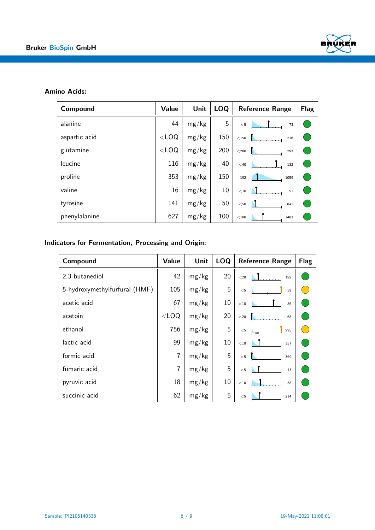

### Amino Acids:

| Compound      | Value   | <b>Unit</b> | <b>LOQ</b> | <b>Reference Range</b> | <b>Flag</b> |
|---------------|---------|-------------|------------|------------------------|-------------|
| alanine       | 44      | mg/kg       | 5          | $<$ 5<br>73            |             |
| aspartic acid | $<$ LOQ | mg/kg       | 150        | $<$ 150<br>216         |             |
| glutamine     | $<$ LOQ | mg/kg       | 200        | $<$ 200<br>293         |             |
| leucine       | 116     | mg/kg       | 40         | $<$ 40<br>132          |             |
| proline       | 353     | mg/kg       | 150        | 192<br>1059            |             |
| valine        | 16      | mg/kg       | 10         | $<\!10$<br>51          |             |
| tyrosine      | 141     | mg/kg       | 50         | $<$ 50<br>841          |             |
| phenylalanine | 627     | mg/kg       | 100        | $<$ 100<br>1483        |             |

## Indicators for Fermentation, Processing and Origin:

| Compound                      | Value          | <b>Unit</b> | <b>LOQ</b> | <b>Reference Range</b> | <b>Flag</b> |
|-------------------------------|----------------|-------------|------------|------------------------|-------------|
| 2,3-butanediol                | 42             | mg/kg       | 20         | $<$ 20<br>122          |             |
| 5-hydroxymethylfurfural (HMF) | 105            | mg/kg       | 5          | $<\!5$<br>59           |             |
| acetic acid                   | 67             | mg/kg       | 10         | $<$ 10 $\,$<br>86      |             |
| acetoin                       | $<$ LOQ        | mg/kg       | 20         | $<$ 20<br>68           |             |
| ethanol                       | 756            | mg/kg       | 5          | 295<br>$<\!5$          |             |
| lactic acid                   | 99             | mg/kg       | 10         | $<\!10$<br>357         |             |
| formic acid                   | $\overline{7}$ | mg/kg       | 5          | $<\!5$<br>369          |             |
| fumaric acid                  | $\overline{7}$ | mg/kg       | 5          | $<\!5$<br>13           |             |
| pyruvic acid                  | 18             | mg/kg       | 10         | $<$ 10 $\,$<br>38      |             |
| succinic acid                 | 62             | mg/kg       | 5          | $<\!5$<br>214          |             |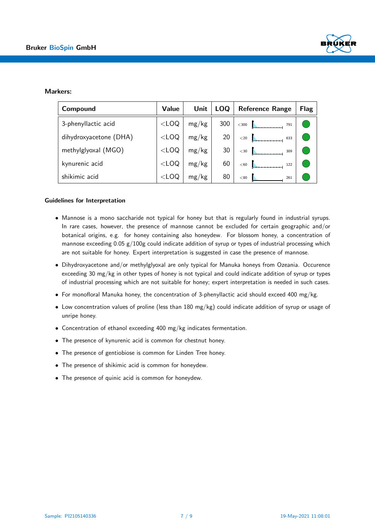

#### Markers:

| Compound               | <b>Value</b> | Unit  | <b>LOQ</b> | <b>Reference Range</b> | Flag |
|------------------------|--------------|-------|------------|------------------------|------|
| 3-phenyllactic acid    | $<$ LOQ      | mg/kg | 300        | $<$ 300<br>791         |      |
| dihydroxyacetone (DHA) | $<$ LOQ      | mg/kg | 20         | $<$ 20<br>633          |      |
| methylglyoxal (MGO)    | $<$ LOQ      | mg/kg | 30         | $<$ 30<br>309          |      |
| kynurenic acid         | $<$ LOQ      | mg/kg | 60         | $60$<br>122            |      |
| shikimic acid          | $<$ LOQ      | mg/kg | 80         | < 80<br>261            |      |

#### Guidelines for Interpretation

- Mannose is a mono saccharide not typical for honey but that is regularly found in industrial syrups. In rare cases, however, the presence of mannose cannot be excluded for certain geographic and/or botanical origins, e.g. for honey containing also honeydew. For blossom honey, a concentration of mannose exceeding  $0.05$   $g/100g$  could indicate addition of syrup or types of industrial processing which are not suitable for honey. Expert interpretation is suggested in case the presence of mannose.
- Dihydroxyacetone and/or methylglyoxal are only typical for Manuka honeys from Ozeania. Occurence exceeding 30 mg/kg in other types of honey is not typical and could indicate addition of syrup or types of industrial processing which are not suitable for honey; expert interpretation is needed in such cases.
- For monofloral Manuka honey, the concentration of 3-phenyllactic acid should exceed 400 mg/kg.
- Low concentration values of proline (less than 180 mg/kg) could indicate addition of syrup or usage of unripe honey.
- Concentration of ethanol exceeding 400 mg/kg indicates fermentation.
- The presence of kynurenic acid is common for chestnut honey.
- The presence of gentiobiose is common for Linden Tree honey.
- The presence of shikimic acid is common for honeydew.
- The presence of quinic acid is common for honeydew.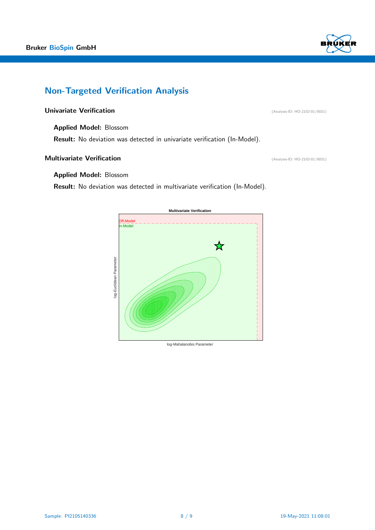

# Non-Targeted Verification Analysis

### Univariate Verification **(Analysis-ID: HO-2102-01/0031**)

Applied Model: Blossom

Result: No deviation was detected in univariate verification (In-Model).

### **Multivariate Verification** (Analysis-ID: HO-2102-01/0031)

#### Applied Model: Blossom

Result: No deviation was detected in multivariate verification (In-Model).



log-Mahalanobis Parameter